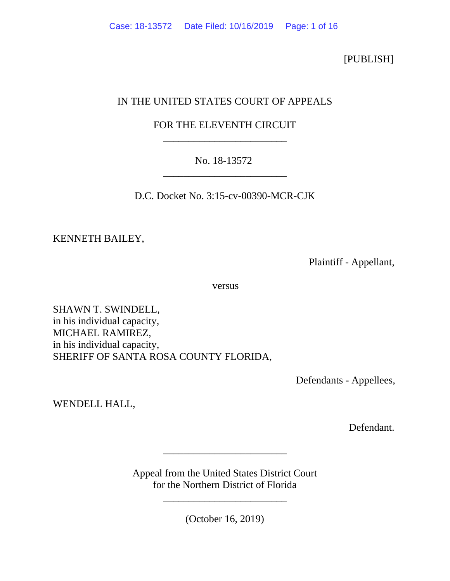[PUBLISH]

# IN THE UNITED STATES COURT OF APPEALS

# FOR THE ELEVENTH CIRCUIT \_\_\_\_\_\_\_\_\_\_\_\_\_\_\_\_\_\_\_\_\_\_\_\_

# No. 18-13572 \_\_\_\_\_\_\_\_\_\_\_\_\_\_\_\_\_\_\_\_\_\_\_\_

D.C. Docket No. 3:15-cv-00390-MCR-CJK

KENNETH BAILEY,

Plaintiff - Appellant,

versus

SHAWN T. SWINDELL, in his individual capacity, MICHAEL RAMIREZ, in his individual capacity, SHERIFF OF SANTA ROSA COUNTY FLORIDA,

Defendants - Appellees,

WENDELL HALL,

Defendant.

Appeal from the United States District Court for the Northern District of Florida

\_\_\_\_\_\_\_\_\_\_\_\_\_\_\_\_\_\_\_\_\_\_\_\_

(October 16, 2019)

\_\_\_\_\_\_\_\_\_\_\_\_\_\_\_\_\_\_\_\_\_\_\_\_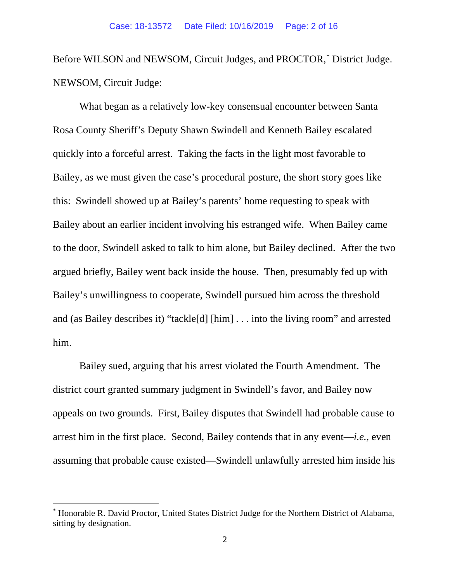Before WILSON and NEWSOM, Circuit Judges, and PROCTOR,[\\*](#page-1-0) District Judge. NEWSOM, Circuit Judge:

What began as a relatively low-key consensual encounter between Santa Rosa County Sheriff's Deputy Shawn Swindell and Kenneth Bailey escalated quickly into a forceful arrest. Taking the facts in the light most favorable to Bailey, as we must given the case's procedural posture, the short story goes like this: Swindell showed up at Bailey's parents' home requesting to speak with Bailey about an earlier incident involving his estranged wife. When Bailey came to the door, Swindell asked to talk to him alone, but Bailey declined. After the two argued briefly, Bailey went back inside the house. Then, presumably fed up with Bailey's unwillingness to cooperate, Swindell pursued him across the threshold and (as Bailey describes it) "tackle[d] [him] . . . into the living room" and arrested him.

Bailey sued, arguing that his arrest violated the Fourth Amendment. The district court granted summary judgment in Swindell's favor, and Bailey now appeals on two grounds. First, Bailey disputes that Swindell had probable cause to arrest him in the first place. Second, Bailey contends that in any event—*i.e.*, even assuming that probable cause existed—Swindell unlawfully arrested him inside his

<span id="page-1-0"></span><sup>\*</sup> Honorable R. David Proctor, United States District Judge for the Northern District of Alabama, sitting by designation.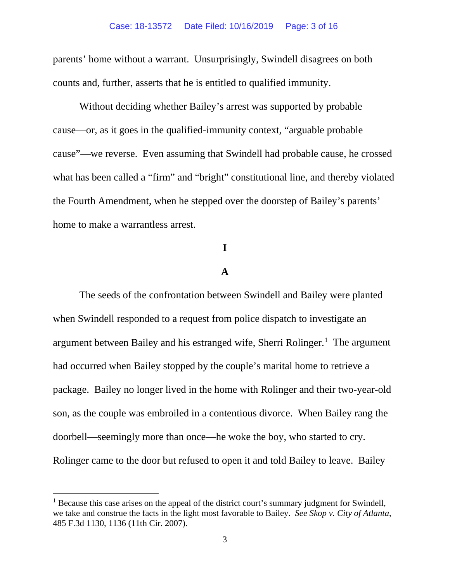parents' home without a warrant. Unsurprisingly, Swindell disagrees on both counts and, further, asserts that he is entitled to qualified immunity.

Without deciding whether Bailey's arrest was supported by probable cause—or, as it goes in the qualified-immunity context, "arguable probable cause"—we reverse. Even assuming that Swindell had probable cause, he crossed what has been called a "firm" and "bright" constitutional line, and thereby violated the Fourth Amendment, when he stepped over the doorstep of Bailey's parents' home to make a warrantless arrest.

## **I**

## **A**

The seeds of the confrontation between Swindell and Bailey were planted when Swindell responded to a request from police dispatch to investigate an argument between Bailey and his estranged wife, Sherri Rolinger. [1](#page-2-0) The argument had occurred when Bailey stopped by the couple's marital home to retrieve a package. Bailey no longer lived in the home with Rolinger and their two-year-old son, as the couple was embroiled in a contentious divorce. When Bailey rang the doorbell—seemingly more than once—he woke the boy, who started to cry. Rolinger came to the door but refused to open it and told Bailey to leave. Bailey

<span id="page-2-0"></span><sup>&</sup>lt;sup>1</sup> Because this case arises on the appeal of the district court's summary judgment for Swindell, we take and construe the facts in the light most favorable to Bailey. *See Skop v. City of Atlanta*, 485 F.3d 1130, 1136 (11th Cir. 2007).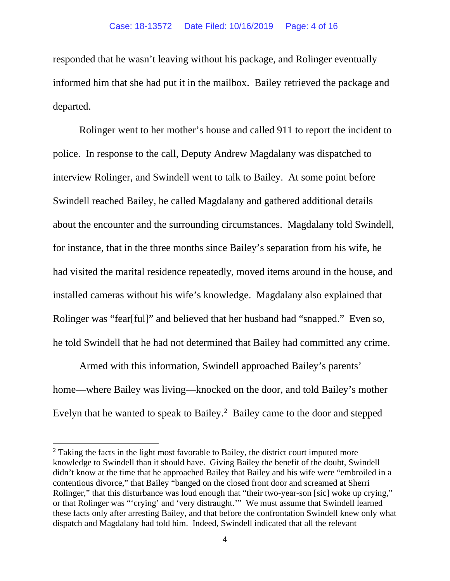responded that he wasn't leaving without his package, and Rolinger eventually informed him that she had put it in the mailbox. Bailey retrieved the package and departed.

Rolinger went to her mother's house and called 911 to report the incident to police. In response to the call, Deputy Andrew Magdalany was dispatched to interview Rolinger, and Swindell went to talk to Bailey. At some point before Swindell reached Bailey, he called Magdalany and gathered additional details about the encounter and the surrounding circumstances. Magdalany told Swindell, for instance, that in the three months since Bailey's separation from his wife, he had visited the marital residence repeatedly, moved items around in the house, and installed cameras without his wife's knowledge. Magdalany also explained that Rolinger was "fear[ful]" and believed that her husband had "snapped." Even so, he told Swindell that he had not determined that Bailey had committed any crime.

Armed with this information, Swindell approached Bailey's parents' home—where Bailey was living—knocked on the door, and told Bailey's mother Evelyn that he wanted to speak to Bailey. [2](#page-3-0) Bailey came to the door and stepped

<span id="page-3-0"></span> $2$  Taking the facts in the light most favorable to Bailey, the district court imputed more knowledge to Swindell than it should have. Giving Bailey the benefit of the doubt, Swindell didn't know at the time that he approached Bailey that Bailey and his wife were "embroiled in a contentious divorce," that Bailey "banged on the closed front door and screamed at Sherri Rolinger," that this disturbance was loud enough that "their two-year-son [sic] woke up crying," or that Rolinger was "'crying' and 'very distraught.'" We must assume that Swindell learned these facts only after arresting Bailey, and that before the confrontation Swindell knew only what dispatch and Magdalany had told him. Indeed, Swindell indicated that all the relevant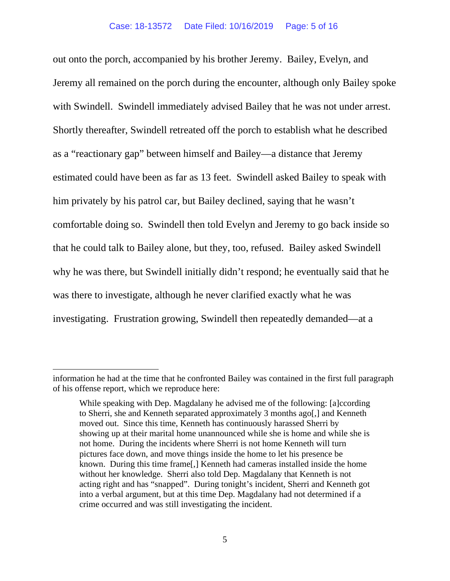out onto the porch, accompanied by his brother Jeremy. Bailey, Evelyn, and Jeremy all remained on the porch during the encounter, although only Bailey spoke with Swindell. Swindell immediately advised Bailey that he was not under arrest. Shortly thereafter, Swindell retreated off the porch to establish what he described as a "reactionary gap" between himself and Bailey—a distance that Jeremy estimated could have been as far as 13 feet. Swindell asked Bailey to speak with him privately by his patrol car, but Bailey declined, saying that he wasn't comfortable doing so. Swindell then told Evelyn and Jeremy to go back inside so that he could talk to Bailey alone, but they, too, refused. Bailey asked Swindell why he was there, but Swindell initially didn't respond; he eventually said that he was there to investigate, although he never clarified exactly what he was investigating. Frustration growing, Swindell then repeatedly demanded—at a

information he had at the time that he confronted Bailey was contained in the first full paragraph of his offense report, which we reproduce here:

While speaking with Dep. Magdalany he advised me of the following: [a]ccording to Sherri, she and Kenneth separated approximately 3 months ago[,] and Kenneth moved out. Since this time, Kenneth has continuously harassed Sherri by showing up at their marital home unannounced while she is home and while she is not home. During the incidents where Sherri is not home Kenneth will turn pictures face down, and move things inside the home to let his presence be known. During this time frame[,] Kenneth had cameras installed inside the home without her knowledge. Sherri also told Dep. Magdalany that Kenneth is not acting right and has "snapped". During tonight's incident, Sherri and Kenneth got into a verbal argument, but at this time Dep. Magdalany had not determined if a crime occurred and was still investigating the incident.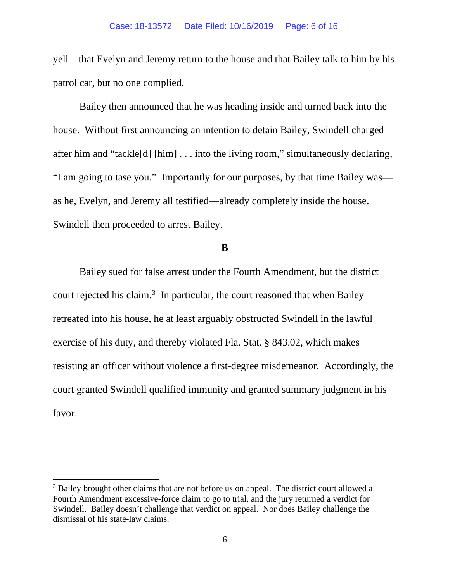yell—that Evelyn and Jeremy return to the house and that Bailey talk to him by his patrol car, but no one complied.

Bailey then announced that he was heading inside and turned back into the house. Without first announcing an intention to detain Bailey, Swindell charged after him and "tackle[d] [him] . . . into the living room," simultaneously declaring, "I am going to tase you." Importantly for our purposes, by that time Bailey was as he, Evelyn, and Jeremy all testified—already completely inside the house. Swindell then proceeded to arrest Bailey.

### **B**

Bailey sued for false arrest under the Fourth Amendment, but the district court rejected his claim. [3](#page-5-0) In particular, the court reasoned that when Bailey retreated into his house, he at least arguably obstructed Swindell in the lawful exercise of his duty, and thereby violated Fla. Stat. § 843.02, which makes resisting an officer without violence a first-degree misdemeanor. Accordingly, the court granted Swindell qualified immunity and granted summary judgment in his favor.

<span id="page-5-0"></span> $3$  Bailey brought other claims that are not before us on appeal. The district court allowed a Fourth Amendment excessive-force claim to go to trial, and the jury returned a verdict for Swindell. Bailey doesn't challenge that verdict on appeal. Nor does Bailey challenge the dismissal of his state-law claims.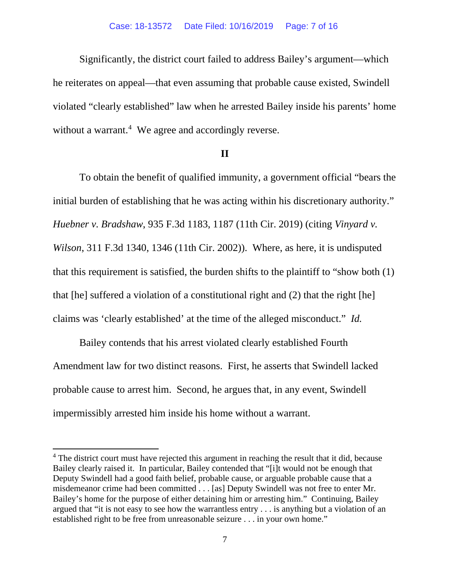#### Case: 18-13572 Date Filed: 10/16/2019 Page: 7 of 16

Significantly, the district court failed to address Bailey's argument—which he reiterates on appeal—that even assuming that probable cause existed, Swindell violated "clearly established" law when he arrested Bailey inside his parents' home without a warrant.<sup>[4](#page-6-0)</sup> We agree and accordingly reverse.

### **II**

To obtain the benefit of qualified immunity, a government official "bears the initial burden of establishing that he was acting within his discretionary authority." *Huebner v. Bradshaw*, 935 F.3d 1183, 1187 (11th Cir. 2019) (citing *Vinyard v. Wilson*, 311 F.3d 1340, 1346 (11th Cir. 2002)). Where, as here, it is undisputed that this requirement is satisfied, the burden shifts to the plaintiff to "show both (1) that [he] suffered a violation of a constitutional right and (2) that the right [he] claims was 'clearly established' at the time of the alleged misconduct." *Id.* 

Bailey contends that his arrest violated clearly established Fourth Amendment law for two distinct reasons. First, he asserts that Swindell lacked probable cause to arrest him. Second, he argues that, in any event, Swindell impermissibly arrested him inside his home without a warrant.

<span id="page-6-0"></span><sup>&</sup>lt;sup>4</sup> The district court must have rejected this argument in reaching the result that it did, because Bailey clearly raised it. In particular, Bailey contended that "[i]t would not be enough that Deputy Swindell had a good faith belief, probable cause, or arguable probable cause that a misdemeanor crime had been committed . . . [as] Deputy Swindell was not free to enter Mr. Bailey's home for the purpose of either detaining him or arresting him." Continuing, Bailey argued that "it is not easy to see how the warrantless entry . . . is anything but a violation of an established right to be free from unreasonable seizure . . . in your own home."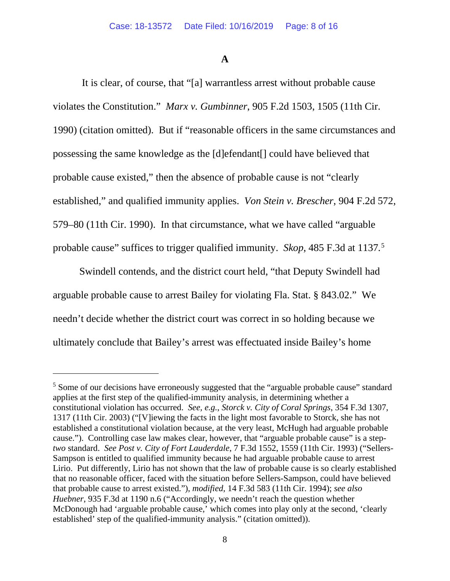## **A**

It is clear, of course, that "[a] warrantless arrest without probable cause violates the Constitution." *Marx v. Gumbinner*, 905 F.2d 1503, 1505 (11th Cir. 1990) (citation omitted). But if "reasonable officers in the same circumstances and possessing the same knowledge as the [d]efendant[] could have believed that probable cause existed," then the absence of probable cause is not "clearly established," and qualified immunity applies. *Von Stein v. Brescher*, 904 F.2d 572, 579–80 (11th Cir. 1990). In that circumstance, what we have called "arguable probable cause" suffices to trigger qualified immunity. *Skop*, 485 F.3d at 1137*.* [5](#page-7-0)

Swindell contends, and the district court held, "that Deputy Swindell had arguable probable cause to arrest Bailey for violating Fla. Stat. § 843.02." We needn't decide whether the district court was correct in so holding because we ultimately conclude that Bailey's arrest was effectuated inside Bailey's home

<span id="page-7-0"></span><sup>&</sup>lt;sup>5</sup> Some of our decisions have erroneously suggested that the "arguable probable cause" standard applies at the first step of the qualified-immunity analysis, in determining whether a constitutional violation has occurred. *See, e.g.*, *Storck v. City of Coral Springs*, 354 F.3d 1307, 1317 (11th Cir. 2003) ("[V]iewing the facts in the light most favorable to Storck, she has not established a constitutional violation because, at the very least, McHugh had arguable probable cause."). Controlling case law makes clear, however, that "arguable probable cause" is a step*two* standard. *See Post v. City of Fort Lauderdale*, 7 F.3d 1552, 1559 (11th Cir. 1993) ("Sellers-Sampson is entitled to qualified immunity because he had arguable probable cause to arrest Lirio. Put differently, Lirio has not shown that the law of probable cause is so clearly established that no reasonable officer, faced with the situation before Sellers-Sampson, could have believed that probable cause to arrest existed."), *modified*, 14 F.3d 583 (11th Cir. 1994); *see also Huebner*, 935 F.3d at 1190 n.6 ("Accordingly, we needn't reach the question whether McDonough had 'arguable probable cause,' which comes into play only at the second, 'clearly established' step of the qualified-immunity analysis." (citation omitted)).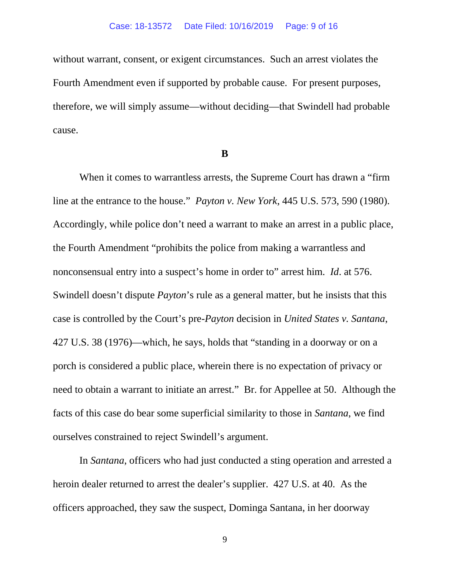without warrant, consent, or exigent circumstances. Such an arrest violates the Fourth Amendment even if supported by probable cause. For present purposes, therefore, we will simply assume—without deciding—that Swindell had probable cause.

#### **B**

When it comes to warrantless arrests, the Supreme Court has drawn a "firm line at the entrance to the house." *Payton v. New York*, 445 U.S. 573, 590 (1980). Accordingly, while police don't need a warrant to make an arrest in a public place, the Fourth Amendment "prohibits the police from making a warrantless and nonconsensual entry into a suspect's home in order to" arrest him. *Id*. at 576. Swindell doesn't dispute *Payton*'s rule as a general matter, but he insists that this case is controlled by the Court's pre-*Payton* decision in *United States v. Santana*, 427 U.S. 38 (1976)—which, he says, holds that "standing in a doorway or on a porch is considered a public place, wherein there is no expectation of privacy or need to obtain a warrant to initiate an arrest." Br. for Appellee at 50. Although the facts of this case do bear some superficial similarity to those in *Santana*, we find ourselves constrained to reject Swindell's argument.

In *Santana*, officers who had just conducted a sting operation and arrested a heroin dealer returned to arrest the dealer's supplier. 427 U.S. at 40. As the officers approached, they saw the suspect, Dominga Santana, in her doorway

9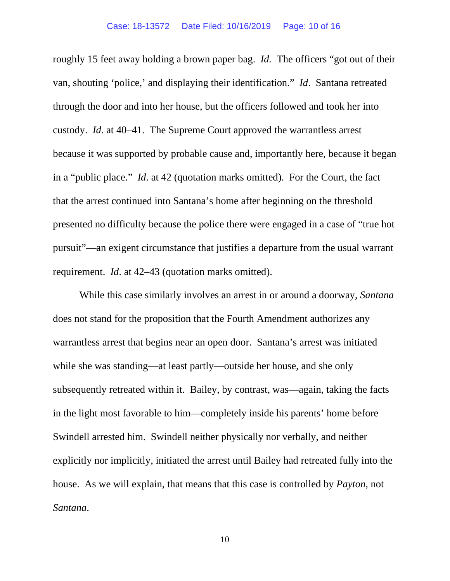roughly 15 feet away holding a brown paper bag. *Id.* The officers "got out of their van, shouting 'police,' and displaying their identification." *Id*. Santana retreated through the door and into her house, but the officers followed and took her into custody. *Id*. at 40–41. The Supreme Court approved the warrantless arrest because it was supported by probable cause and, importantly here, because it began in a "public place." *Id*. at 42 (quotation marks omitted). For the Court, the fact that the arrest continued into Santana's home after beginning on the threshold presented no difficulty because the police there were engaged in a case of "true hot pursuit"—an exigent circumstance that justifies a departure from the usual warrant requirement. *Id*. at 42–43 (quotation marks omitted).

While this case similarly involves an arrest in or around a doorway, *Santana* does not stand for the proposition that the Fourth Amendment authorizes any warrantless arrest that begins near an open door. Santana's arrest was initiated while she was standing—at least partly—outside her house, and she only subsequently retreated within it. Bailey, by contrast, was—again, taking the facts in the light most favorable to him—completely inside his parents' home before Swindell arrested him. Swindell neither physically nor verbally, and neither explicitly nor implicitly, initiated the arrest until Bailey had retreated fully into the house. As we will explain, that means that this case is controlled by *Payton*, not *Santana*.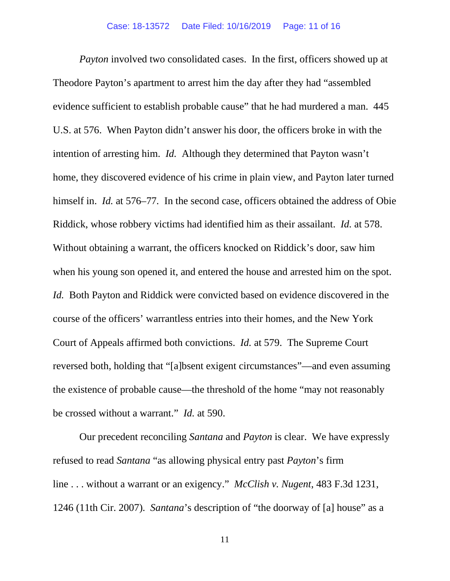*Payton* involved two consolidated cases. In the first, officers showed up at Theodore Payton's apartment to arrest him the day after they had "assembled evidence sufficient to establish probable cause" that he had murdered a man. 445 U.S. at 576. When Payton didn't answer his door, the officers broke in with the intention of arresting him. *Id.* Although they determined that Payton wasn't home, they discovered evidence of his crime in plain view, and Payton later turned himself in. *Id.* at 576–77. In the second case, officers obtained the address of Obie Riddick, whose robbery victims had identified him as their assailant. *Id.* at 578. Without obtaining a warrant, the officers knocked on Riddick's door, saw him when his young son opened it, and entered the house and arrested him on the spot. *Id.* Both Payton and Riddick were convicted based on evidence discovered in the course of the officers' warrantless entries into their homes, and the New York Court of Appeals affirmed both convictions. *Id.* at 579. The Supreme Court reversed both, holding that "[a]bsent exigent circumstances"—and even assuming the existence of probable cause—the threshold of the home "may not reasonably be crossed without a warrant." *Id.* at 590.

Our precedent reconciling *Santana* and *Payton* is clear. We have expressly refused to read *Santana* "as allowing physical entry past *Payton*'s firm line . . . without a warrant or an exigency." *McClish v. Nugent*, 483 F.3d 1231, 1246 (11th Cir. 2007). *Santana*'s description of "the doorway of [a] house" as a

11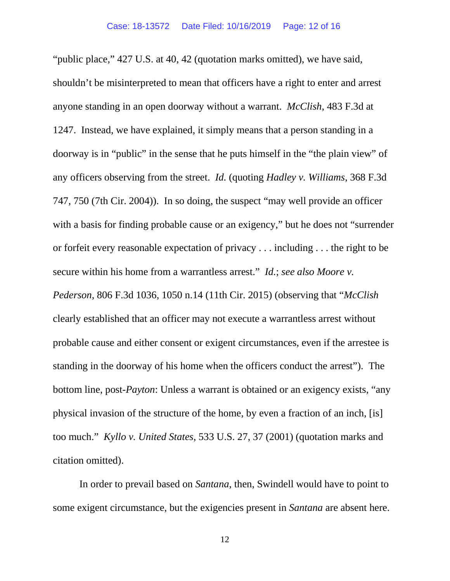"public place," 427 U.S. at 40, 42 (quotation marks omitted), we have said, shouldn't be misinterpreted to mean that officers have a right to enter and arrest anyone standing in an open doorway without a warrant. *McClish*, 483 F.3d at 1247. Instead, we have explained, it simply means that a person standing in a doorway is in "public" in the sense that he puts himself in the "the plain view" of any officers observing from the street. *Id.* (quoting *Hadley v. Williams*, 368 F.3d 747, 750 (7th Cir. 2004)). In so doing, the suspect "may well provide an officer with a basis for finding probable cause or an exigency," but he does not "surrender" or forfeit every reasonable expectation of privacy . . . including . . . the right to be secure within his home from a warrantless arrest." *Id.*; *see also Moore v. Pederson*, 806 F.3d 1036, 1050 n.14 (11th Cir. 2015) (observing that "*McClish* clearly established that an officer may not execute a warrantless arrest without probable cause and either consent or exigent circumstances, even if the arrestee is standing in the doorway of his home when the officers conduct the arrest"). The bottom line, post-*Payton*: Unless a warrant is obtained or an exigency exists, "any physical invasion of the structure of the home, by even a fraction of an inch, [is] too much." *Kyllo v. United States*, 533 U.S. 27, 37 (2001) (quotation marks and citation omitted).

In order to prevail based on *Santana*, then, Swindell would have to point to some exigent circumstance, but the exigencies present in *Santana* are absent here.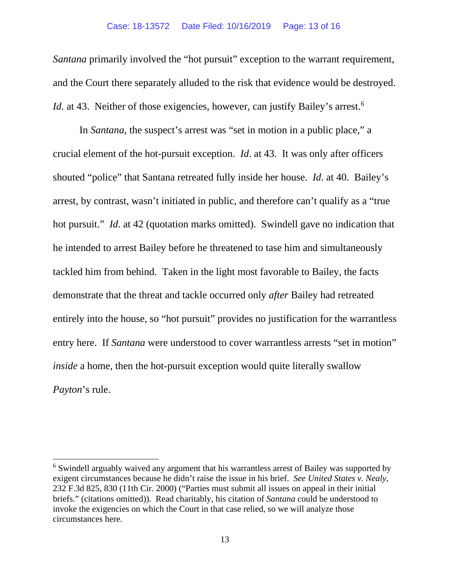#### Case: 18-13572 Date Filed: 10/16/2019 Page: 13 of 16

*Santana* primarily involved the "hot pursuit" exception to the warrant requirement, and the Court there separately alluded to the risk that evidence would be destroyed. Id. at 43. Neither of those exigencies, however, can justify Bailey's arrest.<sup>[6](#page-12-0)</sup>

In *Santana*, the suspect's arrest was "set in motion in a public place," a crucial element of the hot-pursuit exception. *Id*. at 43. It was only after officers shouted "police" that Santana retreated fully inside her house. *Id*. at 40. Bailey's arrest, by contrast, wasn't initiated in public, and therefore can't qualify as a "true hot pursuit." *Id*. at 42 (quotation marks omitted). Swindell gave no indication that he intended to arrest Bailey before he threatened to tase him and simultaneously tackled him from behind. Taken in the light most favorable to Bailey, the facts demonstrate that the threat and tackle occurred only *after* Bailey had retreated entirely into the house, so "hot pursuit" provides no justification for the warrantless entry here. If *Santana* were understood to cover warrantless arrests "set in motion" *inside* a home, then the hot-pursuit exception would quite literally swallow *Payton*'s rule.

<span id="page-12-0"></span><sup>6</sup> Swindell arguably waived any argument that his warrantless arrest of Bailey was supported by exigent circumstances because he didn't raise the issue in his brief. *See United States v. Nealy*, 232 F.3d 825, 830 (11th Cir. 2000) ("Parties must submit all issues on appeal in their initial briefs." (citations omitted)). Read charitably, his citation of *Santana* could be understood to invoke the exigencies on which the Court in that case relied, so we will analyze those circumstances here.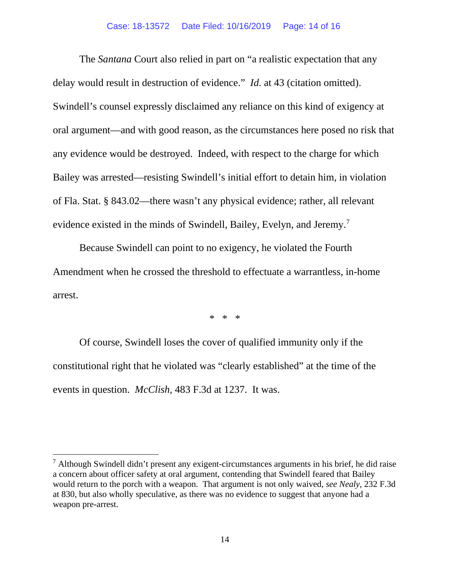#### Case: 18-13572 Date Filed: 10/16/2019 Page: 14 of 16

The *Santana* Court also relied in part on "a realistic expectation that any delay would result in destruction of evidence." *Id.* at 43 (citation omitted). Swindell's counsel expressly disclaimed any reliance on this kind of exigency at oral argument—and with good reason, as the circumstances here posed no risk that any evidence would be destroyed. Indeed, with respect to the charge for which Bailey was arrested—resisting Swindell's initial effort to detain him, in violation of Fla. Stat. § 843.02—there wasn't any physical evidence; rather, all relevant evidence existed in the minds of Swindell, Bailey, Evelyn, and Jeremy.<sup>[7](#page-13-0)</sup>

Because Swindell can point to no exigency, he violated the Fourth Amendment when he crossed the threshold to effectuate a warrantless, in-home arrest.

\* \* \*

Of course, Swindell loses the cover of qualified immunity only if the constitutional right that he violated was "clearly established" at the time of the events in question. *McClish*, 483 F.3d at 1237. It was.

<span id="page-13-0"></span> $<sup>7</sup>$  Although Swindell didn't present any exigent-circumstances arguments in his brief, he did raise</sup> a concern about officer safety at oral argument, contending that Swindell feared that Bailey would return to the porch with a weapon. That argument is not only waived, *see Nealy*, 232 F.3d at 830, but also wholly speculative, as there was no evidence to suggest that anyone had a weapon pre-arrest.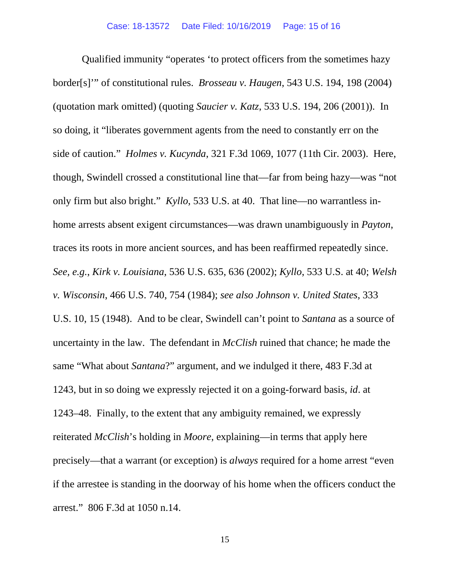Qualified immunity "operates 'to protect officers from the sometimes hazy border[s]'" of constitutional rules. *Brosseau v. Haugen*, 543 U.S. 194, 198 (2004) (quotation mark omitted) (quoting *Saucier v. Katz*, 533 U.S. 194, 206 (2001)). In so doing, it "liberates government agents from the need to constantly err on the side of caution." *Holmes v. Kucynda*, 321 F.3d 1069, 1077 (11th Cir. 2003). Here, though, Swindell crossed a constitutional line that—far from being hazy—was "not only firm but also bright." *Kyllo*, 533 U.S. at 40. That line—no warrantless inhome arrests absent exigent circumstances—was drawn unambiguously in *Payton*, traces its roots in more ancient sources, and has been reaffirmed repeatedly since. *See, e.g.*, *Kirk v. Louisiana*, 536 U.S. 635, 636 (2002); *Kyllo*, 533 U.S. at 40; *Welsh v. Wisconsin*, 466 U.S. 740, 754 (1984); *see also Johnson v. United States*, 333 U.S. 10, 15 (1948). And to be clear, Swindell can't point to *Santana* as a source of uncertainty in the law. The defendant in *McClish* ruined that chance; he made the same "What about *Santana*?" argument, and we indulged it there, 483 F.3d at 1243, but in so doing we expressly rejected it on a going-forward basis, *id*. at 1243–48. Finally, to the extent that any ambiguity remained, we expressly reiterated *McClish*'s holding in *Moore*, explaining—in terms that apply here precisely—that a warrant (or exception) is *always* required for a home arrest "even if the arrestee is standing in the doorway of his home when the officers conduct the arrest." 806 F.3d at 1050 n.14.